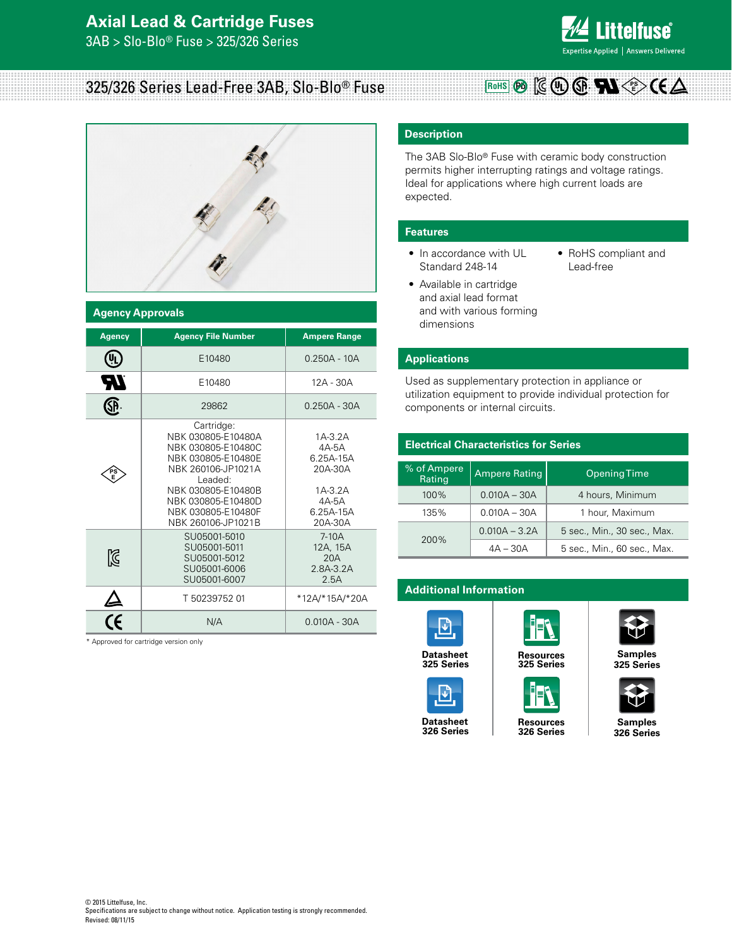## **Axial Lead & Cartridge Fuses**

3AB > Slo-Blo® Fuse > 325/326 Series



# 325/326 Series Lead-Free 3AB, Slo-Blo® Fuse



| <b>Agency Approvals</b>                        |                                                                                                                                                                                                       |                                                                                          |  |  |  |  |  |
|------------------------------------------------|-------------------------------------------------------------------------------------------------------------------------------------------------------------------------------------------------------|------------------------------------------------------------------------------------------|--|--|--|--|--|
| <b>Agency</b>                                  | <b>Agency File Number</b>                                                                                                                                                                             | <b>Ampere Range</b>                                                                      |  |  |  |  |  |
| ůſ                                             | E10480                                                                                                                                                                                                | $0.250A - 10A$                                                                           |  |  |  |  |  |
| ЯV                                             | E10480                                                                                                                                                                                                | 12A - 30A                                                                                |  |  |  |  |  |
| <b>SP</b>                                      | 29862                                                                                                                                                                                                 | $0.250A - 30A$                                                                           |  |  |  |  |  |
|                                                | Cartridge:<br>NBK 030805-E10480A<br>NBK 030805-E10480C<br>NBK 030805-E10480E<br>NBK 260106-JP1021A<br>Leaded:<br>NBK 030805-E10480B<br>NBK 030805-E10480D<br>NBK 030805-E10480F<br>NBK 260106-JP1021B | 1A-3.2A<br>$4A-5A$<br>6.25A-15A<br>20A-30A<br>$1A-3.2A$<br>4A-5A<br>6.25A-15A<br>20A-30A |  |  |  |  |  |
| K                                              | SU05001-5010<br>SU05001-5011<br>SU05001-5012<br>SU05001-6006<br>SU05001-6007                                                                                                                          | $7-10A$<br>12A, 15A<br>20A<br>2.8A-3.2A<br>2.5A                                          |  |  |  |  |  |
|                                                | T 50239752 01                                                                                                                                                                                         | *12A/*15A/*20A                                                                           |  |  |  |  |  |
| $\overline{\overline{\mathcal{C}}\mathcal{C}}$ | N/A                                                                                                                                                                                                   | $0.010A - 30A$                                                                           |  |  |  |  |  |

\* Approved for cartridge version only

### **Description**

The 3AB Slo-Blo® Fuse with ceramic body construction permits higher interrupting ratings and voltage ratings. Ideal for applications where high current loads are expected.

**RoHS Pb**  $\left[\left(\mathsf{G}\right)\left(\mathsf{U}_{\mathsf{L}}\right)\left(\mathsf{S}_{\mathsf{P}}\right)\right]\mathsf{E}_{\mathsf{E}}\left(\mathsf{P}_{\mathsf{E}}\right)$ 

### **Features**

- In accordance with UL Standard 248-14
- RoHS compliant and Lead-free
- Available in cartridge and axial lead format and with various forming dimensions

**Applications**

Used as supplementary protection in appliance or

utilization equipment to provide individual protection for components or internal circuits.

| <b>Electrical Characteristics for Series</b> |                      |                             |  |  |  |
|----------------------------------------------|----------------------|-----------------------------|--|--|--|
| % of Ampere<br>Rating                        | <b>Ampere Rating</b> | <b>Opening Time</b>         |  |  |  |
| 100%                                         | $0.010A - 30A$       | 4 hours, Minimum            |  |  |  |
| 135%                                         | $0.010A - 30A$       | 1 hour, Maximum             |  |  |  |
| 200%                                         | $0.010A - 3.2A$      | 5 sec., Min., 30 sec., Max. |  |  |  |
|                                              | $4A - 30A$           | 5 sec., Min., 60 sec., Max. |  |  |  |

### **Additional Information**



**[325 Series](http://www.littelfuse.com/~/media/electronics/datasheets/fuses/littelfuse_fuse_325_326_datasheet.pdf.pdf)**

**Datasheet [Resources](http://www.littelfuse.com/products/fuses/cartridge-fuses/3ab_3ag-6_3x32mm-fuses/325.aspx#TechnicalResources) Samples**





**325 Series**



**[325 Series](http://www.littelfuse.com/products/fuses/cartridge-fuses/3ab_3ag-6_3x32mm-fuses/325.aspx#ElectricalCharacteristics)**



**[326 Series](http://www.littelfuse.com/products/fuses/cartridge-fuses/3ab_3ag-6_3x32mm-fuses/326.aspx#ElectricalCharacteristics)**

**326 Series**

 $\mathbf{E}$ 

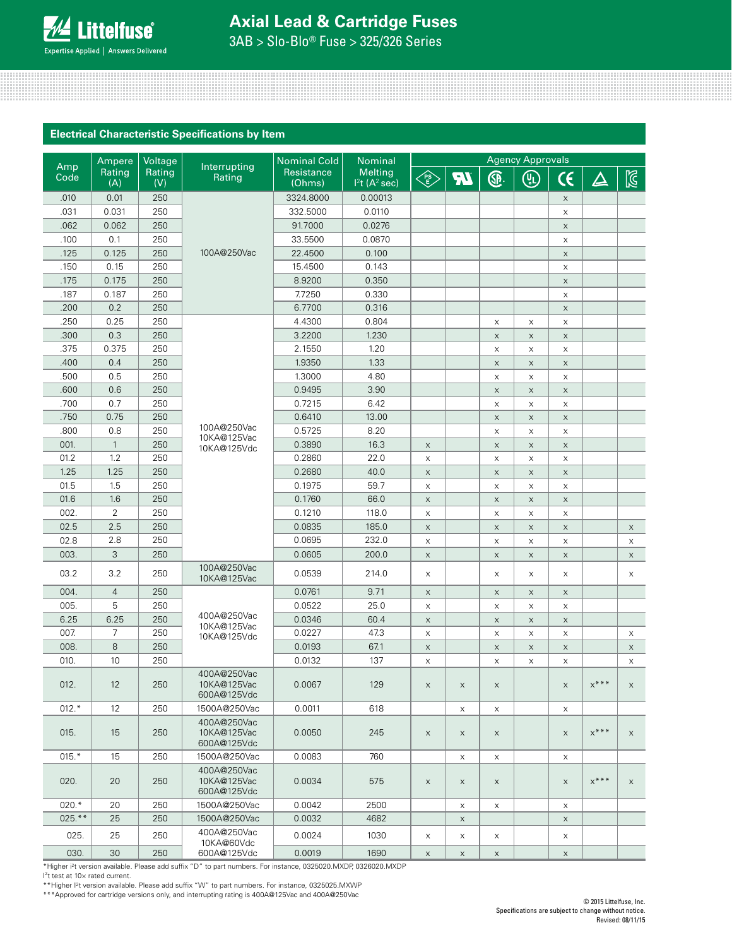

# **Axial Lead & Cartridge Fuses**

3AB > Slo-Blo® Fuse > 325/326 Series

### **Electrical Characteristic Specifications by Item**

|             | Ampere         | Voltage       |                                           | Nominal Cold         | Nominal                                                 | <b>Agency Approvals</b>                                                        |             |             |                           |                           |                    |              |
|-------------|----------------|---------------|-------------------------------------------|----------------------|---------------------------------------------------------|--------------------------------------------------------------------------------|-------------|-------------|---------------------------|---------------------------|--------------------|--------------|
| Amp<br>Code | Rating<br>(A)  | Rating<br>(V) | Interrupting<br>Rating                    | Resistance<br>(Ohms) | <b>Melting</b><br>I <sup>2</sup> t (A <sup>2</sup> sec) | $\left\langle \begin{matrix} \text{PS} \\ \text{E} \end{matrix} \right\rangle$ | <b>AT</b>   | <b>G</b>    | $\textcircled{\tiny{L}}$  | $\epsilon$                | $\Delta$           | $\mathbb{Z}$ |
| .010        | 0.01           | 250           |                                           | 3324.8000            | 0.00013                                                 |                                                                                |             |             |                           | $\times$                  |                    |              |
| .031        | 0.031          | 250           |                                           | 332.5000             | 0.0110                                                  |                                                                                |             |             |                           | $\times$                  |                    |              |
| .062        | 0.062          | 250           |                                           | 91.7000              | 0.0276                                                  |                                                                                |             |             |                           | $\times$                  |                    |              |
| .100        | 0.1            | 250           |                                           | 33.5500              | 0.0870                                                  |                                                                                |             |             |                           | $\times$                  |                    |              |
| .125        | 0.125          | 250           | 100A@250Vac                               | 22.4500              | 0.100                                                   |                                                                                |             |             |                           | $\mathsf X$               |                    |              |
| .150        | 0.15           | 250           |                                           | 15.4500              | 0.143                                                   |                                                                                |             |             |                           | $\mathsf X$               |                    |              |
| .175        | 0.175          | 250           |                                           | 8.9200               | 0.350                                                   |                                                                                |             |             |                           | $\mathsf X$               |                    |              |
| .187        | 0.187          | 250           |                                           | 7.7250               | 0.330                                                   |                                                                                |             |             |                           | X                         |                    |              |
| .200        | 0.2            | 250           |                                           | 6.7700               | 0.316                                                   |                                                                                |             |             |                           | $\mathsf{X}$              |                    |              |
| .250        | 0.25           | 250           |                                           | 4.4300               | 0.804                                                   |                                                                                |             | X           | $\mathsf X$               | $\mathsf X$               |                    |              |
| .300        | 0.3            | 250           |                                           | 3.2200               | 1.230                                                   |                                                                                |             | $\mathsf X$ | $\mathsf X$               | $\times$                  |                    |              |
| .375        | 0.375          | 250           |                                           | 2.1550               | 1.20                                                    |                                                                                |             | X           | $\mathsf X$               | $\mathsf X$               |                    |              |
| .400        | 0.4            | 250           |                                           | 1.9350               | 1.33                                                    |                                                                                |             | $\mathsf X$ | $\boldsymbol{\mathsf{X}}$ | $\mathsf{X}$              |                    |              |
| .500        | 0.5            | 250           |                                           | 1.3000               | 4.80                                                    |                                                                                |             | $\mathsf X$ | X                         | $\times$                  |                    |              |
| .600        | 0.6            | 250           |                                           | 0.9495               | 3.90                                                    |                                                                                |             | $\mathsf X$ | $\mathsf X$               | $\boldsymbol{\mathsf{x}}$ |                    |              |
| .700        | 0.7            | 250           |                                           | 0.7215               | 6.42                                                    |                                                                                |             | $\mathsf X$ | $\boldsymbol{\mathsf{X}}$ | $\times$                  |                    |              |
| .750        | 0.75           | 250           |                                           | 0.6410               | 13.00                                                   |                                                                                |             | $\mathsf X$ | $\mathsf X$               | $\times$                  |                    |              |
| .800        | 0.8            | 250           | 100A@250Vac                               | 0.5725               | 8.20                                                    |                                                                                |             | $\mathsf X$ | $\mathsf X$               | X                         |                    |              |
| 001.        | $\mathbf{1}$   | 250           | 10KA@125Vac<br>10KA@125Vdc                | 0.3890               | 16.3                                                    | $\mathsf X$                                                                    |             | $\mathsf X$ | $\mathsf X$               | $\boldsymbol{\mathsf{X}}$ |                    |              |
| 01.2        | 1.2            | 250           |                                           | 0.2860               | 22.0                                                    | $\mathsf X$                                                                    |             | X           | $\mathsf X$               | $\mathsf X$               |                    |              |
| 1.25        | 1.25           | 250           |                                           | 0.2680               | 40.0                                                    | $\mathsf X$                                                                    |             | $\mathsf X$ | $\mathsf X$               | $\times$                  |                    |              |
| 01.5        | 1.5            | 250           |                                           | 0.1975               | 59.7                                                    | $\mathsf X$                                                                    |             | X           | $\boldsymbol{\mathsf{X}}$ | $\times$                  |                    |              |
| 01.6        | 1.6            | 250           |                                           | 0.1760               | 66.0                                                    | $\mathsf X$                                                                    |             | $\mathsf X$ | $\boldsymbol{\mathsf{X}}$ | $\times$                  |                    |              |
| 002.        | 2              | 250           |                                           | 0.1210               | 118.0                                                   | X                                                                              |             | X           | $\boldsymbol{\mathsf{X}}$ | X                         |                    |              |
| 02.5        | 2.5            | 250           |                                           | 0.0835               | 185.0                                                   | $\mathsf X$                                                                    |             | $\mathsf X$ | $\boldsymbol{\mathsf{X}}$ | $\times$                  |                    | $\mathsf{X}$ |
| 02.8        | 2.8            | 250           |                                           | 0.0695               | 232.0                                                   | $\mathsf X$                                                                    |             | $\mathsf X$ | $\boldsymbol{\mathsf{X}}$ | $\mathsf X$               |                    | X            |
| 003.        | 3              | 250           |                                           | 0.0605               | 200.0                                                   | $\mathsf X$                                                                    |             | $\mathsf X$ | $\boldsymbol{\mathsf{X}}$ | $\times$                  |                    | $\times$     |
| 03.2        | 3.2            | 250           | 100A@250Vac<br>10KA@125Vac                | 0.0539               | 214.0                                                   | X                                                                              |             | X           | $\mathsf X$               | X                         |                    | X            |
| 004.        | $\overline{4}$ | 250           |                                           | 0.0761               | 9.71                                                    | $\mathsf X$                                                                    |             | X           | X                         | $\times$                  |                    |              |
| 005.        | 5              | 250           |                                           | 0.0522               | 25.0                                                    | $\mathsf X$                                                                    |             | $\mathsf X$ | X                         | $\times$                  |                    |              |
| 6.25        | 6.25           | 250           | 400A@250Vac                               | 0.0346               | 60.4                                                    | $\mathsf X$                                                                    |             | $\mathsf X$ | $\mathsf X$               | $\boldsymbol{\mathsf{x}}$ |                    |              |
| 007.        | 7              | 250           | 10KA@125Vac<br>10KA@125Vdc                | 0.0227               | 47.3                                                    | $\mathsf X$                                                                    |             | X           | X                         | $\times$                  |                    | X            |
| 008.        | 8              | 250           |                                           | 0.0193               | 67.1                                                    | $\mathsf X$                                                                    |             | $\mathsf X$ | $\mathsf X$               | $\times$                  |                    | $\mathsf X$  |
| 010.        | 10             | 250           |                                           | 0.0132               | 137                                                     | X                                                                              |             | X           | $\boldsymbol{\mathsf{X}}$ | $\boldsymbol{\mathsf{X}}$ |                    | X            |
| 012.        | 12             | 250           | 400A@250Vac<br>10KA@125Vac<br>600A@125Vdc | 0.0067               | 129                                                     | $\mathsf{X}^-$                                                                 | X           | X           |                           | $\mathsf{X}^-$            | $x^{\ast\ast\ast}$ |              |
| $012.*$     | 12             | 250           | 1500A@250Vac                              | 0.0011               | 618                                                     |                                                                                | X           | X           |                           | X                         |                    |              |
| 015.        | 15             | 250           | 400A@250Vac<br>10KA@125Vac<br>600A@125Vdc | 0.0050               | 245                                                     | $\mathsf X$                                                                    | $\mathsf X$ | $\mathsf X$ |                           | $\mathsf X$               | $x***$             | $\mathsf{X}$ |
| $015.*$     | 15             | 250           | 1500A@250Vac                              | 0.0083               | 760                                                     |                                                                                | X           | X           |                           | X                         |                    |              |
| 020.        | 20             | 250           | 400A@250Vac<br>10KA@125Vac<br>600A@125Vdc | 0.0034               | 575                                                     | $\mathsf X$                                                                    | X           | $\mathsf X$ |                           | $\times$                  | $x***$             | X            |
| $020.*$     | 20             | 250           | 1500A@250Vac                              | 0.0042               | 2500                                                    |                                                                                | X           | X           |                           | $\times$                  |                    |              |
| 025.**      | 25             | 250           | 1500A@250Vac                              | 0.0032               | 4682                                                    |                                                                                | $\times$    |             |                           | $\mathsf X$               |                    |              |
| 025.        | 25             | 250           | 400A@250Vac<br>10KA@60Vdc                 | 0.0024               | 1030                                                    | X                                                                              | X           | $\mathsf X$ |                           | X                         |                    |              |
| 030.        | 30             | 250           | 600A@125Vdc                               | 0.0019               | 1690                                                    | $\mathsf X$                                                                    | $\mathsf X$ | $\mathsf X$ |                           | $\mathsf{X}$              |                    |              |

\*Higher i2t version available. Please add suffix "D" to part numbers. For instance, 0325020.MXDP, 0326020.MXDP

I 2 t test at 10× rated current. \*\*Higher I2t version available. Please add suffix "W" to part numbers. For instance, 0325025.MXWP

\*\*\*Approved for cartridge versions only, and interrupting rating is 400A@125Vac and 400A@250Vac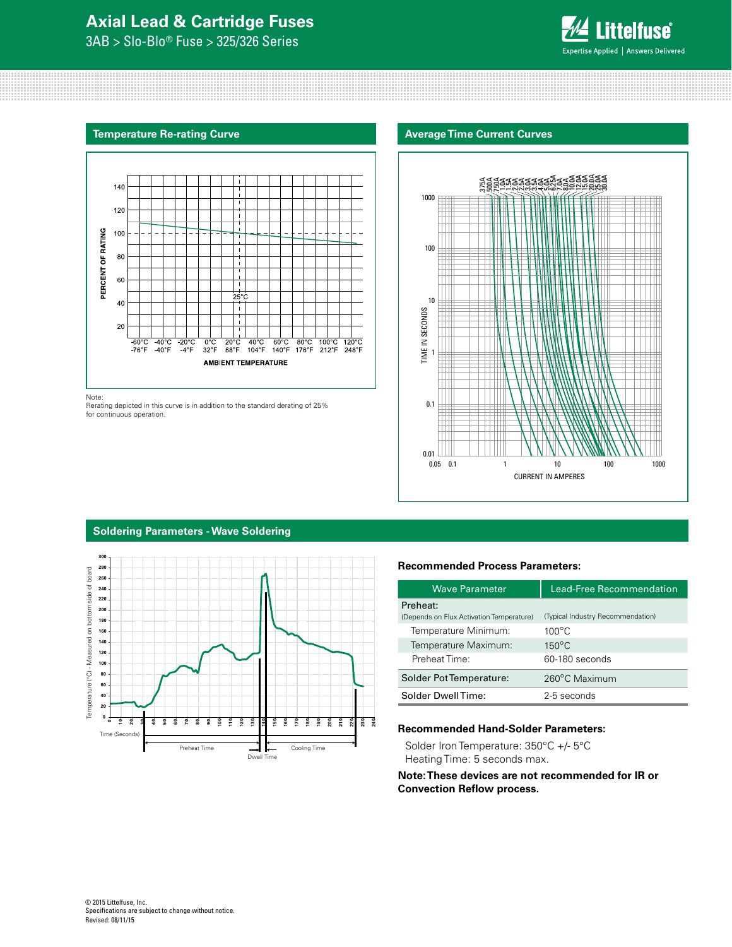### **Axial Lead & Cartridge Fuses**

3AB > Slo-Blo® Fuse > 325/326 Series



### **Temperature Re-rating Curve**



Note:

Rerating depicted in this curve is in addition to the standard derating of 25% for continuous operation.





### **Soldering Parameters - Wave Soldering**



### **Recommended Process Parameters:**

| <b>Wave Parameter</b>                                | Lead-Free Recommendation          |  |  |  |
|------------------------------------------------------|-----------------------------------|--|--|--|
| Preheat:<br>(Depends on Flux Activation Temperature) | (Typical Industry Recommendation) |  |  |  |
| Temperature Minimum:                                 | $100^{\circ}$ C                   |  |  |  |
| Temperature Maximum:                                 | $150^{\circ}$ C                   |  |  |  |
| Preheat Time:                                        | 60-180 seconds                    |  |  |  |
| Solder Pot Temperature:                              | 260°C Maximum                     |  |  |  |
| Solder DwellTime:                                    | 2-5 seconds                       |  |  |  |

### **Recommended Hand-Solder Parameters:**

Solder Iron Temperature: 350°C +/- 5°C Heating Time: 5 seconds max.

**Note: These devices are not recommended for IR or Convection Reflow process.**